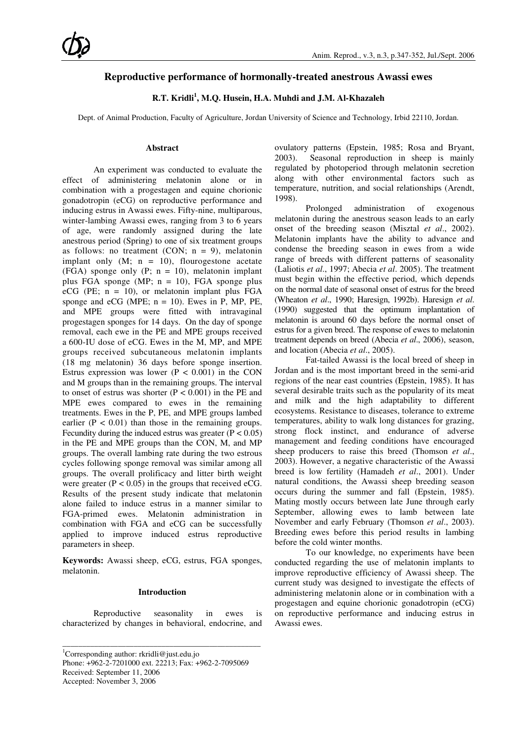### **Reproductive performance of hormonally-treated anestrous Awassi ewes**

### **R.T. Kridli<sup>1</sup> , M.Q. Husein, H.A. Muhdi and J.M. Al-Khazaleh**

Dept. of Animal Production, Faculty of Agriculture, Jordan University of Science and Technology, Irbid 22110, Jordan.

#### **Abstract**

An experiment was conducted to evaluate the effect of administering melatonin alone or in combination with a progestagen and equine chorionic gonadotropin (eCG) on reproductive performance and inducing estrus in Awassi ewes. Fifty-nine, multiparous, winter-lambing Awassi ewes, ranging from 3 to 6 years of age, were randomly assigned during the late anestrous period (Spring) to one of six treatment groups as follows: no treatment (CON;  $n = 9$ ), melatonin implant only  $(M; n = 10)$ , flourogestone acetate (FGA) sponge only  $(P; n = 10)$ , melatonin implant plus FGA sponge (MP;  $n = 10$ ), FGA sponge plus eCG (PE;  $n = 10$ ), or melatonin implant plus FGA sponge and eCG (MPE;  $n = 10$ ). Ewes in P, MP, PE, and MPE groups were fitted with intravaginal progestagen sponges for 14 days. On the day of sponge removal, each ewe in the PE and MPE groups received a 600-IU dose of eCG. Ewes in the M, MP, and MPE groups received subcutaneous melatonin implants (18 mg melatonin) 36 days before sponge insertion. Estrus expression was lower  $(P < 0.001)$  in the CON and M groups than in the remaining groups. The interval to onset of estrus was shorter  $(P < 0.001)$  in the PE and MPE ewes compared to ewes in the remaining treatments. Ewes in the P, PE, and MPE groups lambed earlier  $(P < 0.01)$  than those in the remaining groups. Fecundity during the induced estrus was greater  $(P < 0.05)$ in the PE and MPE groups than the CON, M, and MP groups. The overall lambing rate during the two estrous cycles following sponge removal was similar among all groups. The overall prolificacy and litter birth weight were greater  $(P < 0.05)$  in the groups that received eCG. Results of the present study indicate that melatonin alone failed to induce estrus in a manner similar to FGA-primed ewes. Melatonin administration in combination with FGA and eCG can be successfully applied to improve induced estrus reproductive parameters in sheep.

**Keywords:** Awassi sheep, eCG, estrus, FGA sponges, melatonin.

#### **Introduction**

Reproductive seasonality in ewes is characterized by changes in behavioral, endocrine, and

\_\_\_\_\_\_\_\_\_\_\_\_\_\_\_\_\_\_\_\_\_\_\_\_\_\_\_\_\_\_\_\_\_\_\_\_\_\_\_\_\_\_\_\_\_\_\_\_\_\_

<sup>1</sup>Corresponding author: rkridli@just.edu.jo Phone: +962-2-7201000 ext. 22213; Fax: +962-2-7095069 Received: September 11, 2006 Accepted: November 3, 2006

ovulatory patterns (Epstein, 1985; Rosa and Bryant, 2003). Seasonal reproduction in sheep is mainly regulated by photoperiod through melatonin secretion along with other environmental factors such as temperature, nutrition, and social relationships (Arendt, 1998).

Prolonged administration of exogenous melatonin during the anestrous season leads to an early onset of the breeding season (Misztal *et al*., 2002). Melatonin implants have the ability to advance and condense the breeding season in ewes from a wide range of breeds with different patterns of seasonality (Laliotis *et al*., 1997; Abecia *et al*. 2005). The treatment must begin within the effective period, which depends on the normal date of seasonal onset of estrus for the breed (Wheaton *et al*., 1990; Haresign, 1992b). Haresign *et al*. (1990) suggested that the optimum implantation of melatonin is around 60 days before the normal onset of estrus for a given breed. The response of ewes to melatonin treatment depends on breed (Abecia *et al*., 2006), season, and location (Abecia *et al*., 2005).

Fat-tailed Awassi is the local breed of sheep in Jordan and is the most important breed in the semi-arid regions of the near east countries (Epstein, 1985). It has several desirable traits such as the popularity of its meat and milk and the high adaptability to different ecosystems. Resistance to diseases, tolerance to extreme temperatures, ability to walk long distances for grazing, strong flock instinct, and endurance of adverse management and feeding conditions have encouraged sheep producers to raise this breed (Thomson *et al*., 2003). However, a negative characteristic of the Awassi breed is low fertility (Hamadeh *et al*., 2001). Under natural conditions, the Awassi sheep breeding season occurs during the summer and fall (Epstein, 1985). Mating mostly occurs between late June through early September, allowing ewes to lamb between late November and early February (Thomson *et al*., 2003). Breeding ewes before this period results in lambing before the cold winter months.

To our knowledge, no experiments have been conducted regarding the use of melatonin implants to improve reproductive efficiency of Awassi sheep. The current study was designed to investigate the effects of administering melatonin alone or in combination with a progestagen and equine chorionic gonadotropin (eCG) on reproductive performance and inducing estrus in Awassi ewes.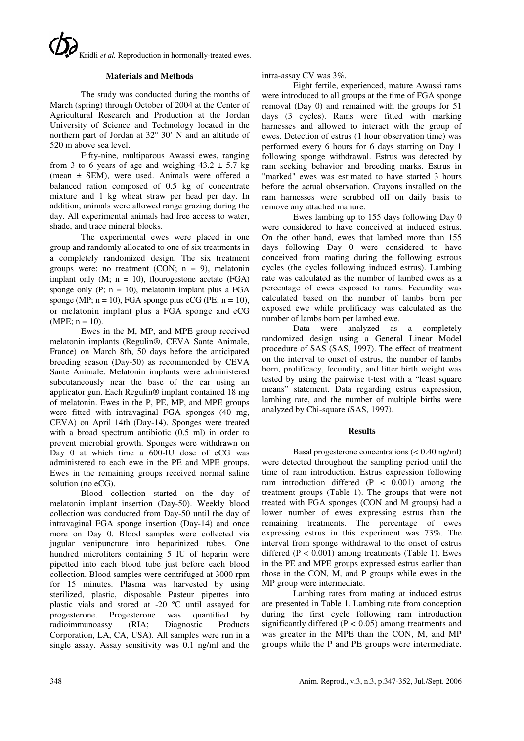#### **Materials and Methods**

The study was conducted during the months of March (spring) through October of 2004 at the Center of Agricultural Research and Production at the Jordan University of Science and Technology located in the northern part of Jordan at 32° 30' N and an altitude of 520 m above sea level.

Fifty-nine, multiparous Awassi ewes, ranging from 3 to 6 years of age and weighing  $43.2 \pm 5.7$  kg (mean ± SEM), were used. Animals were offered a balanced ration composed of 0.5 kg of concentrate mixture and 1 kg wheat straw per head per day. In addition, animals were allowed range grazing during the day. All experimental animals had free access to water, shade, and trace mineral blocks.

The experimental ewes were placed in one group and randomly allocated to one of six treatments in a completely randomized design. The six treatment groups were: no treatment (CON;  $n = 9$ ), melatonin implant only  $(M; n = 10)$ , flourogestone acetate  $(FGA)$ sponge only  $(P: n = 10)$ , melatonin implant plus a FGA sponge (MP;  $n = 10$ ), FGA sponge plus eCG (PE;  $n = 10$ ), or melatonin implant plus a FGA sponge and eCG  $(MPE: n = 10)$ .

Ewes in the M, MP, and MPE group received melatonin implants (Regulin®, CEVA Sante Animale, France) on March 8th, 50 days before the anticipated breeding season (Day-50) as recommended by CEVA Sante Animale. Melatonin implants were administered subcutaneously near the base of the ear using an applicator gun. Each Regulin® implant contained 18 mg of melatonin. Ewes in the P, PE, MP, and MPE groups were fitted with intravaginal FGA sponges (40 mg, CEVA) on April 14th (Day-14). Sponges were treated with a broad spectrum antibiotic  $(0.5 \text{ ml})$  in order to prevent microbial growth. Sponges were withdrawn on Day 0 at which time a 600-IU dose of eCG was administered to each ewe in the PE and MPE groups. Ewes in the remaining groups received normal saline solution (no eCG).

Blood collection started on the day of melatonin implant insertion (Day-50). Weekly blood collection was conducted from Day-50 until the day of intravaginal FGA sponge insertion (Day-14) and once more on Day 0. Blood samples were collected via jugular venipuncture into heparinized tubes. One hundred microliters containing 5 IU of heparin were pipetted into each blood tube just before each blood collection. Blood samples were centrifuged at 3000 rpm for 15 minutes. Plasma was harvested by using sterilized, plastic, disposable Pasteur pipettes into plastic vials and stored at -20 ºC until assayed for progesterone. Progesterone was quantified by radioimmunoassy (RIA; Diagnostic Products Corporation, LA, CA, USA). All samples were run in a single assay. Assay sensitivity was 0.1 ng/ml and the

intra-assay CV was 3%.

Eight fertile, experienced, mature Awassi rams were introduced to all groups at the time of FGA sponge removal (Day 0) and remained with the groups for 51 days (3 cycles). Rams were fitted with marking harnesses and allowed to interact with the group of ewes. Detection of estrus (1 hour observation time) was performed every 6 hours for 6 days starting on Day 1 following sponge withdrawal. Estrus was detected by ram seeking behavior and breeding marks. Estrus in "marked" ewes was estimated to have started 3 hours before the actual observation. Crayons installed on the ram harnesses were scrubbed off on daily basis to remove any attached manure.

Ewes lambing up to 155 days following Day 0 were considered to have conceived at induced estrus. On the other hand, ewes that lambed more than 155 days following Day 0 were considered to have conceived from mating during the following estrous cycles (the cycles following induced estrus). Lambing rate was calculated as the number of lambed ewes as a percentage of ewes exposed to rams. Fecundity was calculated based on the number of lambs born per exposed ewe while prolificacy was calculated as the number of lambs born per lambed ewe.

Data were analyzed as a completely randomized design using a General Linear Model procedure of SAS (SAS, 1997). The effect of treatment on the interval to onset of estrus, the number of lambs born, prolificacy, fecundity, and litter birth weight was tested by using the pairwise t-test with a "least square means" statement. Data regarding estrus expression, lambing rate, and the number of multiple births were analyzed by Chi-square (SAS, 1997).

#### **Results**

Basal progesterone concentrations (< 0.40 ng/ml) were detected throughout the sampling period until the time of ram introduction. Estrus expression following ram introduction differed  $(P < 0.001)$  among the treatment groups (Table 1). The groups that were not treated with FGA sponges (CON and M groups) had a lower number of ewes expressing estrus than the remaining treatments. The percentage of ewes expressing estrus in this experiment was 73%. The interval from sponge withdrawal to the onset of estrus differed  $(P < 0.001)$  among treatments (Table 1). Ewes in the PE and MPE groups expressed estrus earlier than those in the CON, M, and P groups while ewes in the MP group were intermediate.

Lambing rates from mating at induced estrus are presented in Table 1. Lambing rate from conception during the first cycle following ram introduction significantly differed  $(P < 0.05)$  among treatments and was greater in the MPE than the CON, M, and MP groups while the P and PE groups were intermediate.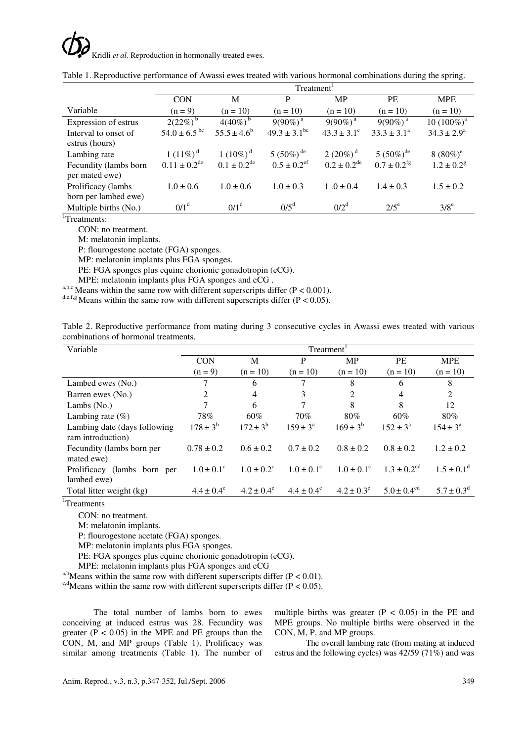## Kridli *et al.* Reproduction in hormonally-treated ewes.

|                       | Treatment <sup>1</sup>       |                           |                             |                           |                           |                            |  |
|-----------------------|------------------------------|---------------------------|-----------------------------|---------------------------|---------------------------|----------------------------|--|
|                       | <b>CON</b>                   | M                         | P                           | <b>MP</b>                 | <b>PE</b>                 | <b>MPE</b>                 |  |
| Variable              | $(n = 9)$                    | $(n = 10)$                | $(n = 10)$                  | $(n = 10)$                | $(n = 10)$                | $(n = 10)$                 |  |
| Expression of estrus  | $2(22\%)^b$                  | $4(40\%)^b$               | $9(90\%)$ <sup>a</sup>      | $9(90\%)$ <sup>a</sup>    | $9(90\%)$ <sup>a</sup>    | $10(100\%)^a$              |  |
| Interval to onset of  | $54.0 \pm 6.5$ <sup>bc</sup> | $55.5 \pm 4.6^b$          | $49.3 \pm 3.1^{\rm bc}$     | $43.3 \pm 3.1$ °          | $33.3 \pm 3.1^a$          | $34.3 \pm 2.9^a$           |  |
| estrus (hours)        |                              |                           |                             |                           |                           |                            |  |
| Lambing rate          | 1 $(11\%)^d$                 | 1 $(10\%)^d$              | 5 (50%) <sup>de</sup>       | 2 $(20\%)^d$              | 5 $(50\%)^{\text{de}}$    | 8 $(80\%)^e$               |  |
| Fecundity (lambs born | $0.11 \pm 0.2^{\text{de}}$   | $0.1 \pm 0.2^{\text{de}}$ | $0.5 \pm 0.2$ <sup>ef</sup> | $0.2 \pm 0.2^{\text{de}}$ | $0.7 \pm 0.2^{\text{fg}}$ | $1.2 \pm 0.2$ <sup>g</sup> |  |
| per mated ewe)        |                              |                           |                             |                           |                           |                            |  |
| Prolificacy (lambs    | $1.0 \pm 0.6$                | $1.0 \pm 0.6$             | $1.0 \pm 0.3$               | $1.0 \pm 0.4$             | $1.4 \pm 0.3$             | $1.5 \pm 0.2$              |  |
| born per lambed ewe)  |                              |                           |                             |                           |                           |                            |  |
| Multiple births (No.) | 0/1 <sup>d</sup>             | 0/1 <sup>d</sup>          | $0/5^d$                     | 0/2 <sup>d</sup>          | $2/5^e$                   | $3/8^e$                    |  |

|  |  |  | Table 1. Reproductive performance of Awassi ewes treated with various hormonal combinations during the spring. |  |
|--|--|--|----------------------------------------------------------------------------------------------------------------|--|
|  |  |  |                                                                                                                |  |

<sup>1</sup>Treatments:

CON: no treatment.

M: melatonin implants.

P: flourogestone acetate (FGA) sponges.

MP: melatonin implants plus FGA sponges.

PE: FGA sponges plus equine chorionic gonadotropin (eCG).

MPE: melatonin implants plus FGA sponges and eCG .

a,b,c Means within the same row with different superscripts differ ( $P < 0.001$ ).

d,e,f,g Means within the same row with different superscripts differ ( $P < 0.05$ ).

| Table 2. Reproductive performance from mating during 3 consecutive cycles in Awassi ewes treated with various |  |  |  |  |  |
|---------------------------------------------------------------------------------------------------------------|--|--|--|--|--|
| combinations of hormonal treatments.                                                                          |  |  |  |  |  |

| Variable                                           | Treatment <sup>1</sup> |                       |                       |                            |                             |                            |  |
|----------------------------------------------------|------------------------|-----------------------|-----------------------|----------------------------|-----------------------------|----------------------------|--|
|                                                    | <b>CON</b>             | M                     | P                     | <b>MP</b>                  | <b>PE</b>                   | <b>MPE</b>                 |  |
|                                                    | $(n = 9)$              | $(n = 10)$            | $(n = 10)$            | $(n = 10)$                 | $(n = 10)$                  | $(n = 10)$                 |  |
| Lambed ewes (No.)                                  | 7                      | 6                     | 7                     | 8                          | 6                           | 8                          |  |
| Barren ewes (No.)                                  | 2                      | $\overline{4}$        | 3                     | $\overline{2}$             | 4                           | $\overline{2}$             |  |
| Lambs $(No.)$                                      | 7                      | 6                     |                       | 8                          | 8                           | 12                         |  |
| Lambing rate $(\% )$                               | 78%                    | 60%                   | 70%                   | 80%                        | 60%                         | 80%                        |  |
| Lambing date (days following)<br>ram introduction) | $178 \pm 3^{b}$        | $172 \pm 3^b$         | $159 \pm 3^{\circ}$   | $169 \pm 3^{b}$            | $152 \pm 3^{\circ}$         | $154 \pm 3^{\circ}$        |  |
| Fecundity (lambs born per<br>mated ewe)            | $0.78 \pm 0.2$         | $0.6 \pm 0.2$         | $0.7 \pm 0.2$         | $0.8 \pm 0.2$              | $0.8 \pm 0.2$               | $1.2 \pm 0.2$              |  |
| Prolificacy (lambs born per<br>lambed ewe)         | $1.0 \pm 0.1^{\circ}$  | $1.0 \pm 0.2^c$       | $1.0 \pm 0.1^{\circ}$ | $1.0 \pm 0.1$ <sup>c</sup> | $1.3 \pm 0.2$ <sup>cd</sup> | $1.5 \pm 0.1$ <sup>d</sup> |  |
| Total litter weight (kg)                           | $4.4 \pm 0.4^c$        | $4.2 \pm 0.4^{\circ}$ | $4.4 \pm 0.4^{\circ}$ | $4.2 \pm 0.3^{\circ}$      | $5.0 \pm 0.4$ <sup>cd</sup> | $5.7 \pm 0.3^{\rm d}$      |  |

<sup>1</sup>Treatments

CON: no treatment.

M: melatonin implants.

P: flourogestone acetate (FGA) sponges.

MP: melatonin implants plus FGA sponges.

PE: FGA sponges plus equine chorionic gonadotropin (eCG).

MPE: melatonin implants plus FGA sponges and eCG

<sup>a,b</sup>Means within the same row with different superscripts differ ( $P < 0.01$ ).

<sup>c,d</sup>Means within the same row with different superscripts differ (P < 0.05).

The total number of lambs born to ewes conceiving at induced estrus was 28. Fecundity was greater ( $P < 0.05$ ) in the MPE and PE groups than the CON, M, and MP groups (Table 1). Prolificacy was similar among treatments (Table 1). The number of multiple births was greater  $(P < 0.05)$  in the PE and MPE groups. No multiple births were observed in the CON, M, P, and MP groups.

The overall lambing rate (from mating at induced estrus and the following cycles) was 42/59 (71%) and was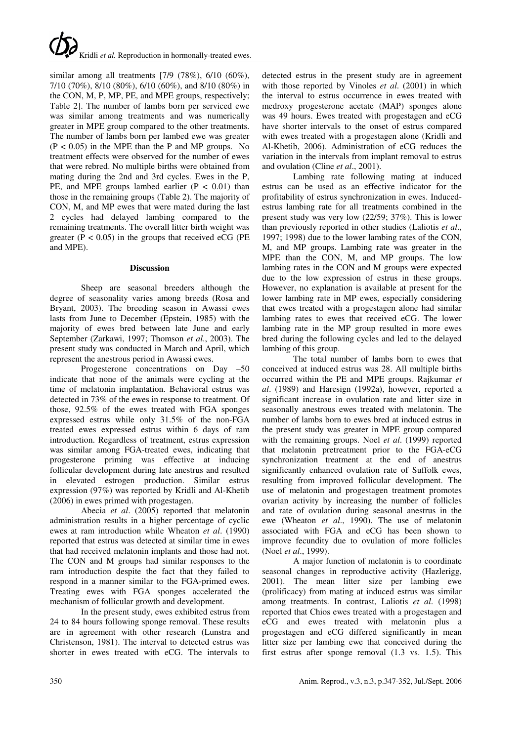similar among all treatments [7/9 (78%), 6/10 (60%), 7/10 (70%), 8/10 (80%), 6/10 (60%), and 8/10 (80%) in the CON, M, P, MP, PE, and MPE groups, respectively; Table 2]. The number of lambs born per serviced ewe was similar among treatments and was numerically greater in MPE group compared to the other treatments. The number of lambs born per lambed ewe was greater  $(P < 0.05)$  in the MPE than the P and MP groups. No treatment effects were observed for the number of ewes that were rebred. No multiple births were obtained from mating during the 2nd and 3rd cycles. Ewes in the P, PE, and MPE groups lambed earlier  $(P < 0.01)$  than those in the remaining groups (Table 2). The majority of CON, M, and MP ewes that were mated during the last 2 cycles had delayed lambing compared to the remaining treatments. The overall litter birth weight was greater ( $P < 0.05$ ) in the groups that received eCG ( $PE$ and MPE).

#### **Discussion**

Sheep are seasonal breeders although the degree of seasonality varies among breeds (Rosa and Bryant, 2003). The breeding season in Awassi ewes lasts from June to December (Epstein, 1985) with the majority of ewes bred between late June and early September (Zarkawi, 1997; Thomson *et al*., 2003). The present study was conducted in March and April, which represent the anestrous period in Awassi ewes.

Progesterone concentrations on Day –50 indicate that none of the animals were cycling at the time of melatonin implantation. Behavioral estrus was detected in 73% of the ewes in response to treatment. Of those, 92.5% of the ewes treated with FGA sponges expressed estrus while only 31.5% of the non-FGA treated ewes expressed estrus within 6 days of ram introduction. Regardless of treatment, estrus expression was similar among FGA-treated ewes, indicating that progesterone priming was effective at inducing follicular development during late anestrus and resulted in elevated estrogen production. Similar estrus expression (97%) was reported by Kridli and Al-Khetib (2006) in ewes primed with progestagen.

Abecia *et al*. (2005) reported that melatonin administration results in a higher percentage of cyclic ewes at ram introduction while Wheaton *et al*. (1990) reported that estrus was detected at similar time in ewes that had received melatonin implants and those had not. The CON and M groups had similar responses to the ram introduction despite the fact that they failed to respond in a manner similar to the FGA-primed ewes. Treating ewes with FGA sponges accelerated the mechanism of follicular growth and development.

In the present study, ewes exhibited estrus from 24 to 84 hours following sponge removal. These results are in agreement with other research (Lunstra and Christenson, 1981). The interval to detected estrus was shorter in ewes treated with eCG. The intervals to detected estrus in the present study are in agreement with those reported by Vinoles *et al*. (2001) in which the interval to estrus occurrence in ewes treated with medroxy progesterone acetate (MAP) sponges alone was 49 hours. Ewes treated with progestagen and eCG have shorter intervals to the onset of estrus compared with ewes treated with a progestagen alone (Kridli and Al-Khetib, 2006). Administration of eCG reduces the variation in the intervals from implant removal to estrus and ovulation (Cline *et al*., 2001).

Lambing rate following mating at induced estrus can be used as an effective indicator for the profitability of estrus synchronization in ewes. Inducedestrus lambing rate for all treatments combined in the present study was very low (22/59; 37%). This is lower than previously reported in other studies (Laliotis *et al*., 1997; 1998) due to the lower lambing rates of the CON, M, and MP groups. Lambing rate was greater in the MPE than the CON, M, and MP groups. The low lambing rates in the CON and M groups were expected due to the low expression of estrus in these groups. However, no explanation is available at present for the lower lambing rate in MP ewes, especially considering that ewes treated with a progestagen alone had similar lambing rates to ewes that received eCG. The lower lambing rate in the MP group resulted in more ewes bred during the following cycles and led to the delayed lambing of this group.

The total number of lambs born to ewes that conceived at induced estrus was 28. All multiple births occurred within the PE and MPE groups. Rajkumar *et al*. (1989) and Haresign (1992a), however, reported a significant increase in ovulation rate and litter size in seasonally anestrous ewes treated with melatonin. The number of lambs born to ewes bred at induced estrus in the present study was greater in MPE group compared with the remaining groups. Noel *et al*. (1999) reported that melatonin pretreatment prior to the FGA-eCG synchronization treatment at the end of anestrus significantly enhanced ovulation rate of Suffolk ewes, resulting from improved follicular development. The use of melatonin and progestagen treatment promotes ovarian activity by increasing the number of follicles and rate of ovulation during seasonal anestrus in the ewe (Wheaton *et al*., 1990). The use of melatonin associated with FGA and eCG has been shown to improve fecundity due to ovulation of more follicles (Noel *et al*., 1999).

A major function of melatonin is to coordinate seasonal changes in reproductive activity (Hazlerigg, 2001). The mean litter size per lambing ewe (prolificacy) from mating at induced estrus was similar among treatments. In contrast, Laliotis *et al*. (1998) reported that Chios ewes treated with a progestagen and eCG and ewes treated with melatonin plus a progestagen and eCG differed significantly in mean litter size per lambing ewe that conceived during the first estrus after sponge removal (1.3 vs. 1.5). This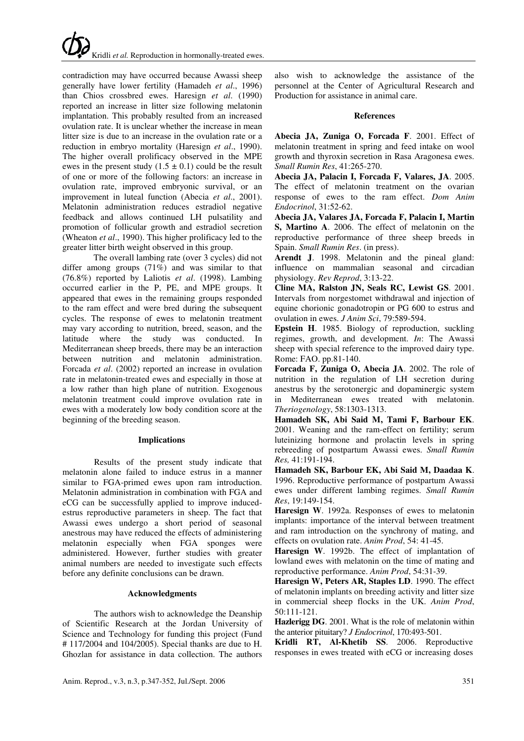# Kridli *et al.* Reproduction in hormonally-treated ewes.

contradiction may have occurred because Awassi sheep generally have lower fertility (Hamadeh *et al*., 1996) than Chios crossbred ewes. Haresign *et al*. (1990) reported an increase in litter size following melatonin implantation. This probably resulted from an increased ovulation rate. It is unclear whether the increase in mean litter size is due to an increase in the ovulation rate or a reduction in embryo mortality (Haresign *et al*., 1990). The higher overall prolificacy observed in the MPE ewes in the present study  $(1.5 \pm 0.1)$  could be the result of one or more of the following factors: an increase in ovulation rate, improved embryonic survival, or an improvement in luteal function (Abecia *et al*., 2001). Melatonin administration reduces estradiol negative feedback and allows continued LH pulsatility and promotion of follicular growth and estradiol secretion (Wheaton *et al*., 1990). This higher prolificacy led to the greater litter birth weight observed in this group.

The overall lambing rate (over 3 cycles) did not differ among groups  $(71\%)$  and was similar to that (76.8%) reported by Laliotis *et al*. (1998). Lambing occurred earlier in the P, PE, and MPE groups. It appeared that ewes in the remaining groups responded to the ram effect and were bred during the subsequent cycles. The response of ewes to melatonin treatment may vary according to nutrition, breed, season, and the latitude where the study was conducted. In Mediterranean sheep breeds, there may be an interaction between nutrition and melatonin administration. Forcada *et al*. (2002) reported an increase in ovulation rate in melatonin-treated ewes and especially in those at a low rather than high plane of nutrition. Exogenous melatonin treatment could improve ovulation rate in ewes with a moderately low body condition score at the beginning of the breeding season.

#### **Implications**

Results of the present study indicate that melatonin alone failed to induce estrus in a manner similar to FGA-primed ewes upon ram introduction. Melatonin administration in combination with FGA and eCG can be successfully applied to improve inducedestrus reproductive parameters in sheep. The fact that Awassi ewes undergo a short period of seasonal anestrous may have reduced the effects of administering melatonin especially when FGA sponges were administered. However, further studies with greater animal numbers are needed to investigate such effects before any definite conclusions can be drawn.

#### **Acknowledgments**

The authors wish to acknowledge the Deanship of Scientific Research at the Jordan University of Science and Technology for funding this project (Fund # 117/2004 and 104/2005). Special thanks are due to H. Ghozlan for assistance in data collection. The authors

also wish to acknowledge the assistance of the personnel at the Center of Agricultural Research and Production for assistance in animal care.

#### **References**

**Abecia JA, Zuniga O, Forcada F**. 2001. Effect of melatonin treatment in spring and feed intake on wool growth and thyroxin secretion in Rasa Aragonesa ewes. *Small Rumin Res*, 41:265-270.

**Abecia JA, Palacin I, Forcada F, Valares, JA**. 2005. The effect of melatonin treatment on the ovarian response of ewes to the ram effect. *Dom Anim Endocrinol*, 31:52-62.

**Abecia JA, Valares JA, Forcada F, Palacin I, Martin S, Martino A**. 2006. The effect of melatonin on the reproductive performance of three sheep breeds in Spain. *Small Rumin Res*. (in press).

**Arendt J**. 1998. Melatonin and the pineal gland: influence on mammalian seasonal and circadian physiology. *Rev Reprod*, 3:13-22.

**Cline MA, Ralston JN, Seals RC, Lewist GS**. 2001. Intervals from norgestomet withdrawal and injection of equine chorionic gonadotropin or PG 600 to estrus and ovulation in ewes. *J Anim Sci*, 79:589-594.

**Epstein H**. 1985. Biology of reproduction, suckling regimes, growth, and development. *In*: The Awassi sheep with special reference to the improved dairy type. Rome: FAO. pp.81-140.

**Forcada F, Zuniga O, Abecia JA**. 2002. The role of nutrition in the regulation of LH secretion during anestrus by the serotonergic and dopaminergic system in Mediterranean ewes treated with melatonin. *Theriogenology*, 58:1303-1313.

**Hamadeh SK, Abi Said M, Tami F, Barbour EK**. 2001. Weaning and the ram-effect on fertility; serum luteinizing hormone and prolactin levels in spring rebreeding of postpartum Awassi ewes. *Small Rumin Res,* 41:191-194.

**Hamadeh SK, Barbour EK, Abi Said M, Daadaa K**. 1996. Reproductive performance of postpartum Awassi ewes under different lambing regimes. *Small Rumin Res*, 19:149-154.

**Haresign W**. 1992a. Responses of ewes to melatonin implants: importance of the interval between treatment and ram introduction on the synchrony of mating, and effects on ovulation rate. *Anim Prod*, 54: 41-45.

**Haresign W**. 1992b. The effect of implantation of lowland ewes with melatonin on the time of mating and reproductive performance. *Anim Prod*, 54:31-39.

**Haresign W, Peters AR, Staples LD**. 1990. The effect of melatonin implants on breeding activity and litter size in commercial sheep flocks in the UK. *Anim Prod*, 50:111-121.

**Hazlerigg DG**. 2001. What is the role of melatonin within the anterior pituitary? *J Endocrinol*, 170:493-501.

**Kridli RT, Al-Khetib SS**. 2006. Reproductive responses in ewes treated with eCG or increasing doses